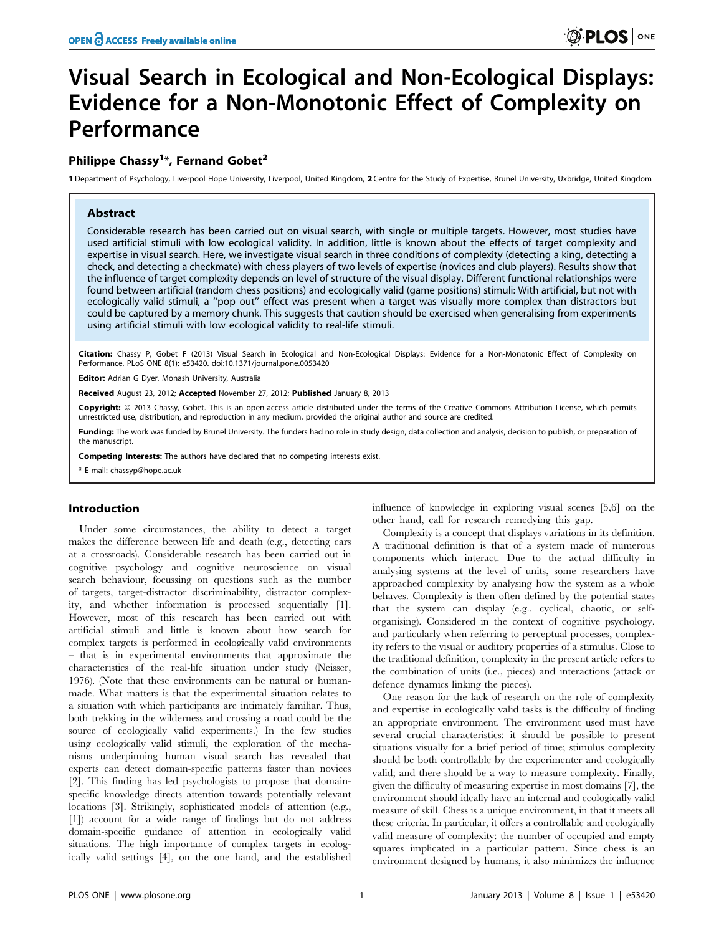# Visual Search in Ecological and Non-Ecological Displays: Evidence for a Non-Monotonic Effect of Complexity on Performance

## Philippe Chassy<sup>1\*</sup>, Fernand Gobet<sup>2</sup>

1 Department of Psychology, Liverpool Hope University, Liverpool, United Kingdom, 2 Centre for the Study of Expertise, Brunel University, Uxbridge, United Kingdom

## Abstract

Considerable research has been carried out on visual search, with single or multiple targets. However, most studies have used artificial stimuli with low ecological validity. In addition, little is known about the effects of target complexity and expertise in visual search. Here, we investigate visual search in three conditions of complexity (detecting a king, detecting a check, and detecting a checkmate) with chess players of two levels of expertise (novices and club players). Results show that the influence of target complexity depends on level of structure of the visual display. Different functional relationships were found between artificial (random chess positions) and ecologically valid (game positions) stimuli: With artificial, but not with ecologically valid stimuli, a ''pop out'' effect was present when a target was visually more complex than distractors but could be captured by a memory chunk. This suggests that caution should be exercised when generalising from experiments using artificial stimuli with low ecological validity to real-life stimuli.

Citation: Chassy P, Gobet F (2013) Visual Search in Ecological and Non-Ecological Displays: Evidence for a Non-Monotonic Effect of Complexity on Performance. PLoS ONE 8(1): e53420. doi:10.1371/journal.pone.0053420

Editor: Adrian G Dyer, Monash University, Australia

Received August 23, 2012; Accepted November 27, 2012; Published January 8, 2013

Copyright: © 2013 Chassy, Gobet. This is an open-access article distributed under the terms of the Creative Commons Attribution License, which permits unrestricted use, distribution, and reproduction in any medium, provided the original author and source are credited.

Funding: The work was funded by Brunel University. The funders had no role in study design, data collection and analysis, decision to publish, or preparation of the manuscript.

Competing Interests: The authors have declared that no competing interests exist.

\* E-mail: chassyp@hope.ac.uk

## Introduction

Under some circumstances, the ability to detect a target makes the difference between life and death (e.g., detecting cars at a crossroads). Considerable research has been carried out in cognitive psychology and cognitive neuroscience on visual search behaviour, focussing on questions such as the number of targets, target-distractor discriminability, distractor complexity, and whether information is processed sequentially [1]. However, most of this research has been carried out with artificial stimuli and little is known about how search for complex targets is performed in ecologically valid environments – that is in experimental environments that approximate the characteristics of the real-life situation under study (Neisser, 1976). (Note that these environments can be natural or humanmade. What matters is that the experimental situation relates to a situation with which participants are intimately familiar. Thus, both trekking in the wilderness and crossing a road could be the source of ecologically valid experiments.) In the few studies using ecologically valid stimuli, the exploration of the mechanisms underpinning human visual search has revealed that experts can detect domain-specific patterns faster than novices [2]. This finding has led psychologists to propose that domainspecific knowledge directs attention towards potentially relevant locations [3]. Strikingly, sophisticated models of attention (e.g., [1]) account for a wide range of findings but do not address domain-specific guidance of attention in ecologically valid situations. The high importance of complex targets in ecologically valid settings [4], on the one hand, and the established

influence of knowledge in exploring visual scenes [5,6] on the other hand, call for research remedying this gap.

Complexity is a concept that displays variations in its definition. A traditional definition is that of a system made of numerous components which interact. Due to the actual difficulty in analysing systems at the level of units, some researchers have approached complexity by analysing how the system as a whole behaves. Complexity is then often defined by the potential states that the system can display (e.g., cyclical, chaotic, or selforganising). Considered in the context of cognitive psychology, and particularly when referring to perceptual processes, complexity refers to the visual or auditory properties of a stimulus. Close to the traditional definition, complexity in the present article refers to the combination of units (i.e., pieces) and interactions (attack or defence dynamics linking the pieces).

One reason for the lack of research on the role of complexity and expertise in ecologically valid tasks is the difficulty of finding an appropriate environment. The environment used must have several crucial characteristics: it should be possible to present situations visually for a brief period of time; stimulus complexity should be both controllable by the experimenter and ecologically valid; and there should be a way to measure complexity. Finally, given the difficulty of measuring expertise in most domains [7], the environment should ideally have an internal and ecologically valid measure of skill. Chess is a unique environment, in that it meets all these criteria. In particular, it offers a controllable and ecologically valid measure of complexity: the number of occupied and empty squares implicated in a particular pattern. Since chess is an environment designed by humans, it also minimizes the influence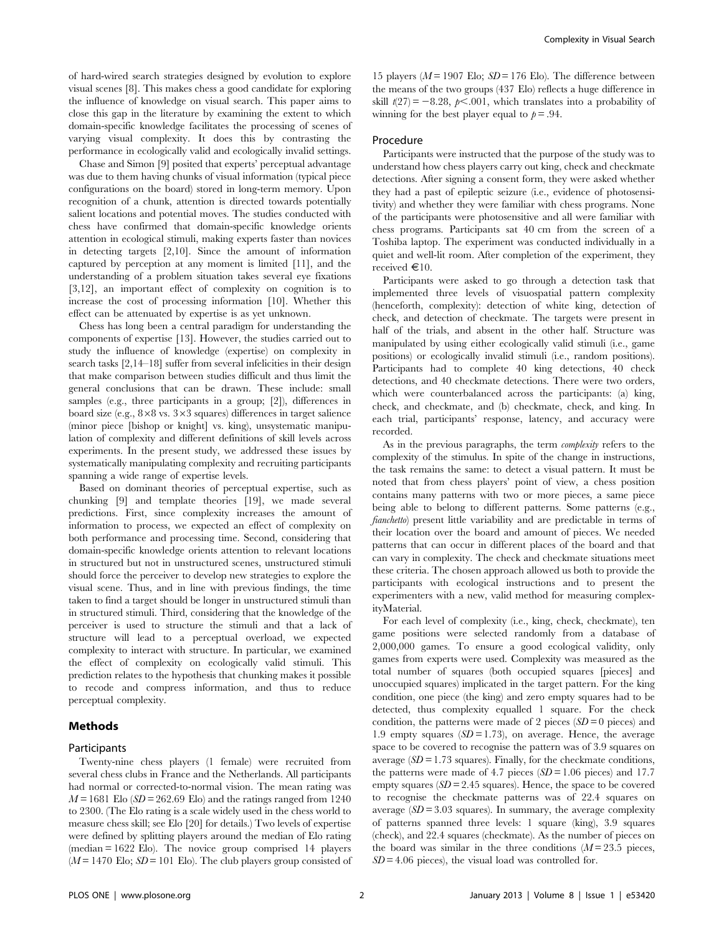of hard-wired search strategies designed by evolution to explore visual scenes [8]. This makes chess a good candidate for exploring the influence of knowledge on visual search. This paper aims to close this gap in the literature by examining the extent to which domain-specific knowledge facilitates the processing of scenes of varying visual complexity. It does this by contrasting the performance in ecologically valid and ecologically invalid settings.

Chase and Simon [9] posited that experts' perceptual advantage was due to them having chunks of visual information (typical piece configurations on the board) stored in long-term memory. Upon recognition of a chunk, attention is directed towards potentially salient locations and potential moves. The studies conducted with chess have confirmed that domain-specific knowledge orients attention in ecological stimuli, making experts faster than novices in detecting targets [2,10]. Since the amount of information captured by perception at any moment is limited [11], and the understanding of a problem situation takes several eye fixations [3,12], an important effect of complexity on cognition is to increase the cost of processing information [10]. Whether this effect can be attenuated by expertise is as yet unknown.

Chess has long been a central paradigm for understanding the components of expertise [13]. However, the studies carried out to study the influence of knowledge (expertise) on complexity in search tasks [2,14–18] suffer from several infelicities in their design that make comparison between studies difficult and thus limit the general conclusions that can be drawn. These include: small samples (e.g., three participants in a group; [2]), differences in board size (e.g.,  $8\times8$  vs.  $3\times3$  squares) differences in target salience (minor piece [bishop or knight] vs. king), unsystematic manipulation of complexity and different definitions of skill levels across experiments. In the present study, we addressed these issues by systematically manipulating complexity and recruiting participants spanning a wide range of expertise levels.

Based on dominant theories of perceptual expertise, such as chunking [9] and template theories [19], we made several predictions. First, since complexity increases the amount of information to process, we expected an effect of complexity on both performance and processing time. Second, considering that domain-specific knowledge orients attention to relevant locations in structured but not in unstructured scenes, unstructured stimuli should force the perceiver to develop new strategies to explore the visual scene. Thus, and in line with previous findings, the time taken to find a target should be longer in unstructured stimuli than in structured stimuli. Third, considering that the knowledge of the perceiver is used to structure the stimuli and that a lack of structure will lead to a perceptual overload, we expected complexity to interact with structure. In particular, we examined the effect of complexity on ecologically valid stimuli. This prediction relates to the hypothesis that chunking makes it possible to recode and compress information, and thus to reduce perceptual complexity.

## Methods

#### Participants

Twenty-nine chess players (1 female) were recruited from several chess clubs in France and the Netherlands. All participants had normal or corrected-to-normal vision. The mean rating was  $M = 1681$  Elo (SD = 262.69 Elo) and the ratings ranged from 1240 to 2300. (The Elo rating is a scale widely used in the chess world to measure chess skill; see Elo [20] for details.) Two levels of expertise were defined by splitting players around the median of Elo rating (median = 1622 Elo). The novice group comprised 14 players  $(M = 1470 \text{ Elo}; SD = 101 \text{ Elo})$ . The club players group consisted of

15 players ( $M = 1907$  Elo;  $SD = 176$  Elo). The difference between the means of the two groups (437 Elo) reflects a huge difference in skill  $t(27) = -8.28$ ,  $p < .001$ , which translates into a probability of winning for the best player equal to  $p = .94$ .

## Procedure

Participants were instructed that the purpose of the study was to understand how chess players carry out king, check and checkmate detections. After signing a consent form, they were asked whether they had a past of epileptic seizure (i.e., evidence of photosensitivity) and whether they were familiar with chess programs. None of the participants were photosensitive and all were familiar with chess programs. Participants sat 40 cm from the screen of a Toshiba laptop. The experiment was conducted individually in a quiet and well-lit room. After completion of the experiment, they received  $\in 10$ .

Participants were asked to go through a detection task that implemented three levels of visuospatial pattern complexity (henceforth, complexity): detection of white king, detection of check, and detection of checkmate. The targets were present in half of the trials, and absent in the other half. Structure was manipulated by using either ecologically valid stimuli (i.e., game positions) or ecologically invalid stimuli (i.e., random positions). Participants had to complete 40 king detections, 40 check detections, and 40 checkmate detections. There were two orders, which were counterbalanced across the participants: (a) king, check, and checkmate, and (b) checkmate, check, and king. In each trial, participants' response, latency, and accuracy were recorded.

As in the previous paragraphs, the term *complexity* refers to the complexity of the stimulus. In spite of the change in instructions, the task remains the same: to detect a visual pattern. It must be noted that from chess players' point of view, a chess position contains many patterns with two or more pieces, a same piece being able to belong to different patterns. Some patterns (e.g., fianchetto) present little variability and are predictable in terms of their location over the board and amount of pieces. We needed patterns that can occur in different places of the board and that can vary in complexity. The check and checkmate situations meet these criteria. The chosen approach allowed us both to provide the participants with ecological instructions and to present the experimenters with a new, valid method for measuring complexityMaterial.

For each level of complexity (i.e., king, check, checkmate), ten game positions were selected randomly from a database of 2,000,000 games. To ensure a good ecological validity, only games from experts were used. Complexity was measured as the total number of squares (both occupied squares [pieces] and unoccupied squares) implicated in the target pattern. For the king condition, one piece (the king) and zero empty squares had to be detected, thus complexity equalled 1 square. For the check condition, the patterns were made of 2 pieces  $(SD = 0$  pieces) and 1.9 empty squares  $(SD = 1.73)$ , on average. Hence, the average space to be covered to recognise the pattern was of 3.9 squares on average  $(SD = 1.73$  squares). Finally, for the checkmate conditions, the patterns were made of 4.7 pieces  $(SD = 1.06$  pieces) and 17.7 empty squares  $(SD = 2.45 \text{ squares})$ . Hence, the space to be covered to recognise the checkmate patterns was of 22.4 squares on average  $(SD = 3.03$  squares). In summary, the average complexity of patterns spanned three levels: 1 square (king), 3.9 squares (check), and 22.4 squares (checkmate). As the number of pieces on the board was similar in the three conditions  $(M = 23.5)$  pieces,  $SD = 4.06$  pieces), the visual load was controlled for.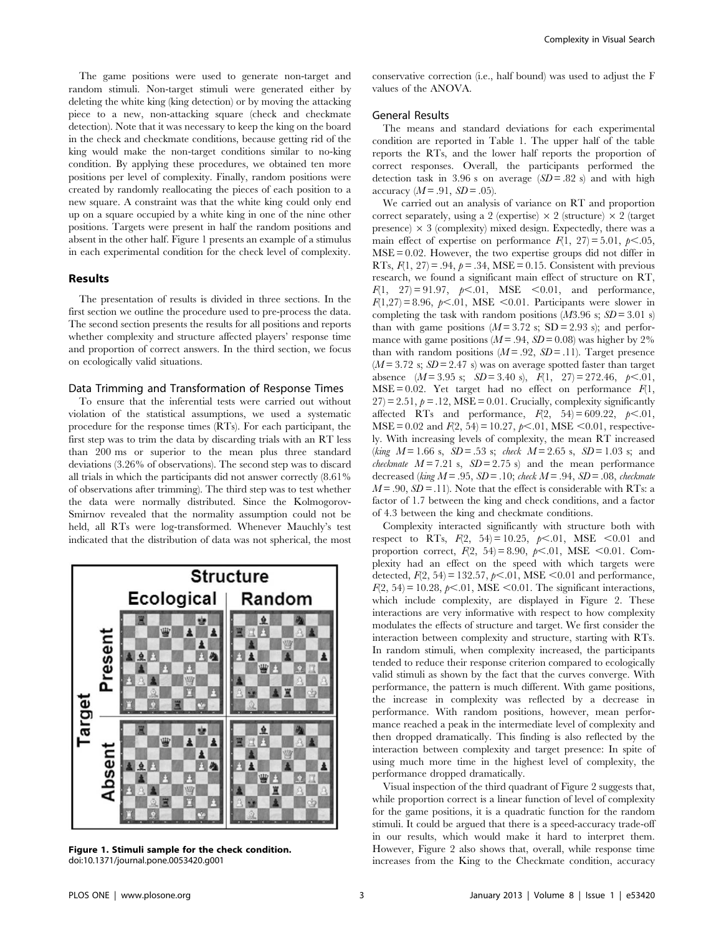The game positions were used to generate non-target and random stimuli. Non-target stimuli were generated either by deleting the white king (king detection) or by moving the attacking piece to a new, non-attacking square (check and checkmate detection). Note that it was necessary to keep the king on the board in the check and checkmate conditions, because getting rid of the king would make the non-target conditions similar to no-king condition. By applying these procedures, we obtained ten more positions per level of complexity. Finally, random positions were created by randomly reallocating the pieces of each position to a new square. A constraint was that the white king could only end up on a square occupied by a white king in one of the nine other positions. Targets were present in half the random positions and absent in the other half. Figure 1 presents an example of a stimulus in each experimental condition for the check level of complexity.

#### Results

The presentation of results is divided in three sections. In the first section we outline the procedure used to pre-process the data. The second section presents the results for all positions and reports whether complexity and structure affected players' response time and proportion of correct answers. In the third section, we focus on ecologically valid situations.

#### Data Trimming and Transformation of Response Times

To ensure that the inferential tests were carried out without violation of the statistical assumptions, we used a systematic procedure for the response times (RTs). For each participant, the first step was to trim the data by discarding trials with an RT less than 200 ms or superior to the mean plus three standard deviations (3.26% of observations). The second step was to discard all trials in which the participants did not answer correctly (8.61% of observations after trimming). The third step was to test whether the data were normally distributed. Since the Kolmogorov-Smirnov revealed that the normality assumption could not be held, all RTs were log-transformed. Whenever Mauchly's test indicated that the distribution of data was not spherical, the most



Figure 1. Stimuli sample for the check condition. doi:10.1371/journal.pone.0053420.g001

conservative correction (i.e., half bound) was used to adjust the F values of the ANOVA.

#### General Results

The means and standard deviations for each experimental condition are reported in Table 1. The upper half of the table reports the RTs, and the lower half reports the proportion of correct responses. Overall, the participants performed the detection task in 3.96 s on average  $(SD = .82 \text{ s})$  and with high accuracy  $(M = .91, SD = .05)$ .

We carried out an analysis of variance on RT and proportion correct separately, using a 2 (expertise)  $\times$  2 (structure)  $\times$  2 (target presence)  $\times$  3 (complexity) mixed design. Expectedly, there was a main effect of expertise on performance  $F(1, 27) = 5.01, p<.05,$  $MSE = 0.02$ . However, the two expertise groups did not differ in RTs,  $F(1, 27) = .94$ ,  $p = .34$ , MSE = 0.15. Consistent with previous research, we found a significant main effect of structure on RT,  $F(1, 27) = 91.97, p \le 0.01, MSE \le 0.01, and performance,$  $F(1,27) = 8.96, p \le 0.01$ , MSE  $\le 0.01$ . Participants were slower in completing the task with random positions  $(M3.96 \text{ s}; SD = 3.01 \text{ s})$ than with game positions  $(M = 3.72$  s; SD = 2.93 s); and performance with game positions  $(M = .94, SD = 0.08)$  was higher by 2% than with random positions  $(M = .92, SD = .11)$ . Target presence  $(M = 3.72 \text{ s}; SD = 2.47 \text{ s})$  was on average spotted faster than target absence  $(M = 3.95 \text{ s}; SD = 3.40 \text{ s}), F(1, 27) = 272.46, p<.01,$  $MSE = 0.02$ . Yet target had no effect on performance  $F(1, 1)$  $27 = 2.51, p = .12, MSE = 0.01$ . Crucially, complexity significantly affected RTs and performance,  $F(2, 54) = 609.22, p<.01$ ,  $MSE = 0.02$  and  $F(2, 54) = 10.27, p<.01, MSE < 0.01$ , respectively. With increasing levels of complexity, the mean RT increased (king  $M = 1.66$  s,  $SD = .53$  s; check  $M = 2.65$  s,  $SD = 1.03$  s; and *checkmate*  $M = 7.21$  s,  $SD = 2.75$  s) and the mean performance decreased (king  $M = .95$ ,  $SD = .10$ ; check  $M = .94$ ,  $SD = .08$ , checkmate  $M = .90$ ,  $SD = .11$ ). Note that the effect is considerable with RTs: a factor of 1.7 between the king and check conditions, and a factor of 4.3 between the king and checkmate conditions.

Complexity interacted significantly with structure both with respect to RTs,  $F(2, 54) = 10.25, p<.01, MSE < 0.01$  and proportion correct,  $F(2, 54) = 8.90, \, p\leq 0.01, \, MSE \leq 0.01$ . Complexity had an effect on the speed with which targets were detected,  $F(2, 54) = 132.57$ ,  $p < .01$ , MSE < 0.01 and performance,  $F(2, 54) = 10.28$ ,  $p<.01$ , MSE < 0.01. The significant interactions, which include complexity, are displayed in Figure 2. These interactions are very informative with respect to how complexity modulates the effects of structure and target. We first consider the interaction between complexity and structure, starting with RTs. In random stimuli, when complexity increased, the participants tended to reduce their response criterion compared to ecologically valid stimuli as shown by the fact that the curves converge. With performance, the pattern is much different. With game positions, the increase in complexity was reflected by a decrease in performance. With random positions, however, mean performance reached a peak in the intermediate level of complexity and then dropped dramatically. This finding is also reflected by the interaction between complexity and target presence: In spite of using much more time in the highest level of complexity, the performance dropped dramatically.

Visual inspection of the third quadrant of Figure 2 suggests that, while proportion correct is a linear function of level of complexity for the game positions, it is a quadratic function for the random stimuli. It could be argued that there is a speed-accuracy trade-off in our results, which would make it hard to interpret them. However, Figure 2 also shows that, overall, while response time increases from the King to the Checkmate condition, accuracy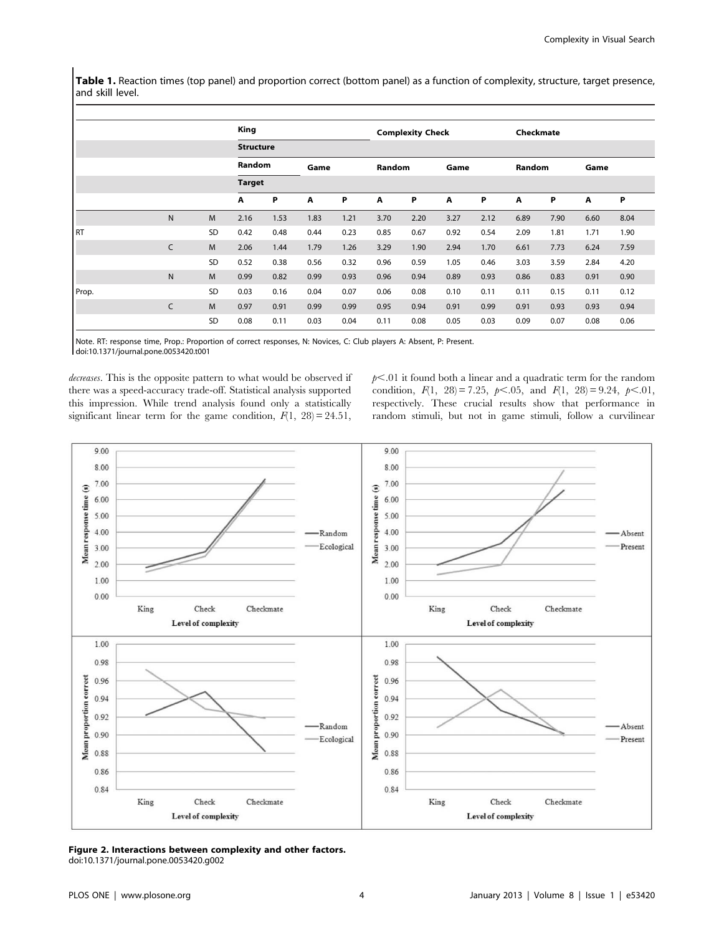Table 1. Reaction times (top panel) and proportion correct (bottom panel) as a function of complexity, structure, target presence, and skill level.

|       |              |           | King             |      |      |      | <b>Complexity Check</b> |      |      |      | Checkmate |      |      |      |
|-------|--------------|-----------|------------------|------|------|------|-------------------------|------|------|------|-----------|------|------|------|
|       |              |           | <b>Structure</b> |      |      |      |                         |      |      |      |           |      |      |      |
|       |              |           | Random           |      | Game |      | <b>Random</b>           |      | Game |      | Random    |      | Game |      |
|       |              |           | <b>Target</b>    |      |      |      |                         |      |      |      |           |      |      |      |
|       |              |           | A                | P    | Α    | P    | A                       | P    | A    | P    | A         | P    | A    | P    |
|       | $\mathsf{N}$ | M         | 2.16             | 1.53 | 1.83 | 1.21 | 3.70                    | 2.20 | 3.27 | 2.12 | 6.89      | 7.90 | 6.60 | 8.04 |
| RT    |              | <b>SD</b> | 0.42             | 0.48 | 0.44 | 0.23 | 0.85                    | 0.67 | 0.92 | 0.54 | 2.09      | 1.81 | 1.71 | 1.90 |
|       | $\mathsf{C}$ | M         | 2.06             | 1.44 | 1.79 | 1.26 | 3.29                    | 1.90 | 2.94 | 1.70 | 6.61      | 7.73 | 6.24 | 7.59 |
|       |              | SD        | 0.52             | 0.38 | 0.56 | 0.32 | 0.96                    | 0.59 | 1.05 | 0.46 | 3.03      | 3.59 | 2.84 | 4.20 |
|       | ${\sf N}$    | M         | 0.99             | 0.82 | 0.99 | 0.93 | 0.96                    | 0.94 | 0.89 | 0.93 | 0.86      | 0.83 | 0.91 | 0.90 |
| Prop. |              | SD        | 0.03             | 0.16 | 0.04 | 0.07 | 0.06                    | 0.08 | 0.10 | 0.11 | 0.11      | 0.15 | 0.11 | 0.12 |
|       | $\mathsf{C}$ | M         | 0.97             | 0.91 | 0.99 | 0.99 | 0.95                    | 0.94 | 0.91 | 0.99 | 0.91      | 0.93 | 0.93 | 0.94 |
|       |              | SD        | 0.08             | 0.11 | 0.03 | 0.04 | 0.11                    | 0.08 | 0.05 | 0.03 | 0.09      | 0.07 | 0.08 | 0.06 |

Note. RT: response time, Prop.: Proportion of correct responses, N: Novices, C: Club players A: Absent, P: Present. doi:10.1371/journal.pone.0053420.t001

decreases. This is the opposite pattern to what would be observed if there was a speed-accuracy trade-off. Statistical analysis supported this impression. While trend analysis found only a statistically significant linear term for the game condition,  $F(1, 28) = 24.51$ ,  $p<.01$  it found both a linear and a quadratic term for the random condition,  $F(1, 28) = 7.25$ ,  $p<.05$ , and  $F(1, 28) = 9.24$ ,  $p<.01$ , respectively. These crucial results show that performance in random stimuli, but not in game stimuli, follow a curvilinear



Figure 2. Interactions between complexity and other factors. doi:10.1371/journal.pone.0053420.g002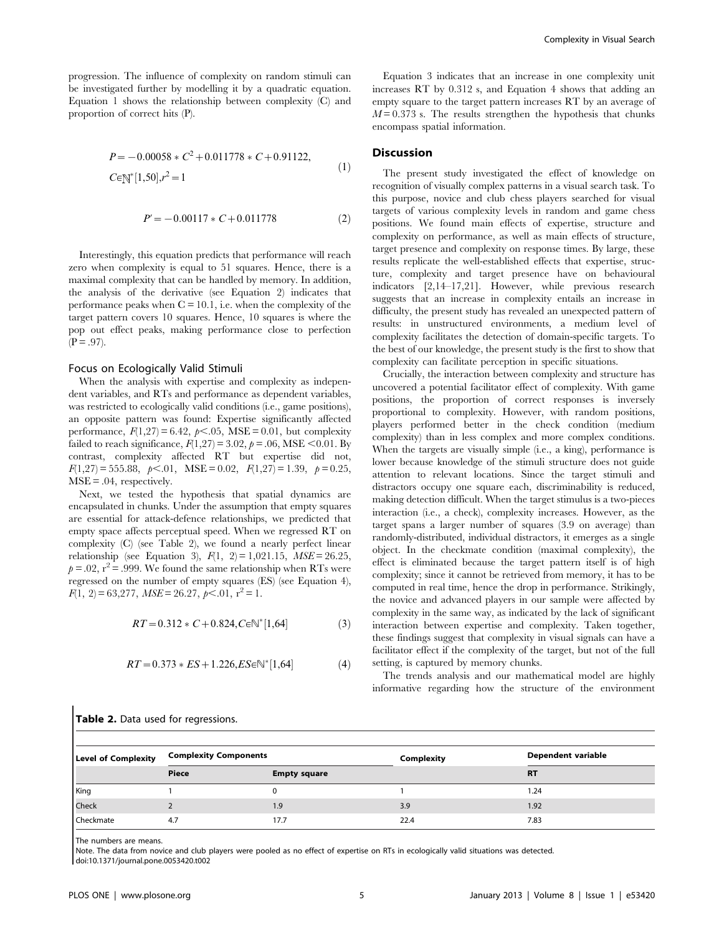progression. The influence of complexity on random stimuli can be investigated further by modelling it by a quadratic equation. Equation 1 shows the relationship between complexity (C) and proportion of correct hits (P).

$$
P = -0.00058 \times C^2 + 0.011778 \times C + 0.91122,
$$
  
\n
$$
C \in \mathbb{N}^*[1, 50], r^2 = 1
$$
\n(1)

$$
P' = -0.00117 \times C + 0.011778 \tag{2}
$$

Interestingly, this equation predicts that performance will reach zero when complexity is equal to 51 squares. Hence, there is a maximal complexity that can be handled by memory. In addition, the analysis of the derivative (see Equation 2) indicates that performance peaks when  $C = 10.1$ , i.e. when the complexity of the target pattern covers 10 squares. Hence, 10 squares is where the pop out effect peaks, making performance close to perfection  $(P = .97)$ .

#### Focus on Ecologically Valid Stimuli

When the analysis with expertise and complexity as independent variables, and RTs and performance as dependent variables, was restricted to ecologically valid conditions (i.e., game positions), an opposite pattern was found: Expertise significantly affected performance,  $F(1,27) = 6.42$ ,  $p < .05$ , MSE = 0.01, but complexity failed to reach significance,  $F(1,27) = 3.02$ ,  $p = .06$ , MSE < 0.01. By contrast, complexity affected RT but expertise did not,  $F(1,27) = 555.88, p<.01, \text{MSE} = 0.02, F(1,27) = 1.39, p = 0.25,$ MSE = .04, respectively.

Next, we tested the hypothesis that spatial dynamics are encapsulated in chunks. Under the assumption that empty squares are essential for attack-defence relationships, we predicted that empty space affects perceptual speed. When we regressed RT on complexity (C) (see Table 2), we found a nearly perfect linear relationship (see Equation 3),  $F(1, 2) = 1,021.15$ ,  $MSE = 26.25$ ,  $p = .02$ ,  $r^2 = .999$ . We found the same relationship when RTs were regressed on the number of empty squares (ES) (see Equation 4),  $F(1, 2) = 63,277, MSE = 26.27, p<0.1, r^2 = 1.$ 

$$
RT = 0.312 \times C + 0.824, C \in \mathbb{N}^*[1, 64] \tag{3}
$$

$$
RT = 0.373 * ES + 1.226, ES \in \mathbb{N}^*[1, 64]
$$
 (4)

Equation 3 indicates that an increase in one complexity unit increases RT by 0.312 s, and Equation 4 shows that adding an empty square to the target pattern increases RT by an average of  $M = 0.373$  s. The results strengthen the hypothesis that chunks encompass spatial information.

## Discussion

The present study investigated the effect of knowledge on recognition of visually complex patterns in a visual search task. To this purpose, novice and club chess players searched for visual targets of various complexity levels in random and game chess positions. We found main effects of expertise, structure and complexity on performance, as well as main effects of structure, target presence and complexity on response times. By large, these results replicate the well-established effects that expertise, structure, complexity and target presence have on behavioural indicators [2,14–17,21]. However, while previous research suggests that an increase in complexity entails an increase in difficulty, the present study has revealed an unexpected pattern of results: in unstructured environments, a medium level of complexity facilitates the detection of domain-specific targets. To the best of our knowledge, the present study is the first to show that complexity can facilitate perception in specific situations.

Crucially, the interaction between complexity and structure has uncovered a potential facilitator effect of complexity. With game positions, the proportion of correct responses is inversely proportional to complexity. However, with random positions, players performed better in the check condition (medium complexity) than in less complex and more complex conditions. When the targets are visually simple (i.e., a king), performance is lower because knowledge of the stimuli structure does not guide attention to relevant locations. Since the target stimuli and distractors occupy one square each, discriminability is reduced, making detection difficult. When the target stimulus is a two-pieces interaction (i.e., a check), complexity increases. However, as the target spans a larger number of squares (3.9 on average) than randomly-distributed, individual distractors, it emerges as a single object. In the checkmate condition (maximal complexity), the effect is eliminated because the target pattern itself is of high complexity; since it cannot be retrieved from memory, it has to be computed in real time, hence the drop in performance. Strikingly, the novice and advanced players in our sample were affected by complexity in the same way, as indicated by the lack of significant interaction between expertise and complexity. Taken together, these findings suggest that complexity in visual signals can have a facilitator effect if the complexity of the target, but not of the full setting, is captured by memory chunks.

The trends analysis and our mathematical model are highly informative regarding how the structure of the environment

| <b>Level of Complexity</b> | <b>Complexity Components</b> |                     | Complexity | Dependent variable |  |  |  |
|----------------------------|------------------------------|---------------------|------------|--------------------|--|--|--|
|                            | Piece                        | <b>Empty square</b> |            | <b>RT</b>          |  |  |  |
| King                       |                              |                     |            | 1.24               |  |  |  |
| Check                      |                              | 1.9                 | 3.9        | 1.92               |  |  |  |
| Checkmate                  | 4.7                          | 17.7                | 22.4       | 7.83               |  |  |  |

## Table 2. Data used for regressions.

The numbers are means.

Note. The data from novice and club players were pooled as no effect of expertise on RTs in ecologically valid situations was detected. doi:10.1371/journal.pone.0053420.t002